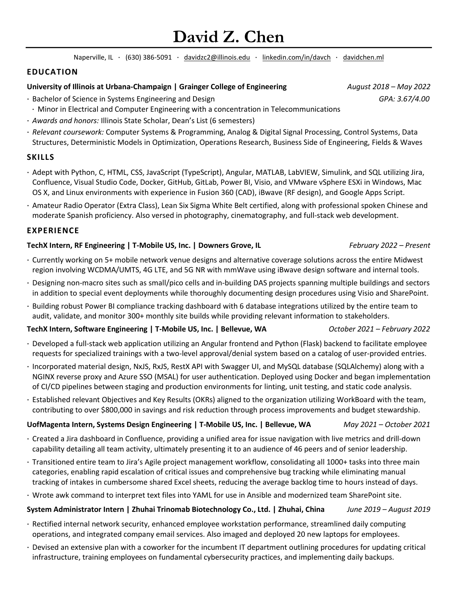# **David Z. Chen**

Naperville, IL · (630) 386-5091 · [davidzc2@illinois.edu](mailto:davidzc2@illinois.edu) · [linkedin.com/in/davch](https://www.linkedin.com/in/davch/) · [davidchen.ml](https://www.davidchen.ml/)

## **EDUCATION**

## **University of Illinois at Urbana-Champaign | Grainger College of Engineering** *August 2018 – May 2022*

- · Bachelor of Science in Systems Engineering and Design *GPA: 3.67/4.00*
- · Minor in Electrical and Computer Engineering with a concentration in Telecommunications
- · *Awards and honors:* Illinois State Scholar, Dean's List (6 semesters)
- · *Relevant coursework:* Computer Systems & Programming, Analog & Digital Signal Processing, Control Systems, Data Structures, Deterministic Models in Optimization, Operations Research, Business Side of Engineering, Fields & Waves

## **SKILLS**

- · Adept with Python, C, HTML, CSS, JavaScript (TypeScript), Angular, MATLAB, LabVIEW, Simulink, and SQL utilizing Jira, Confluence, Visual Studio Code, Docker, GitHub, GitLab, Power BI, Visio, and VMware vSphere ESXi in Windows, Mac OS X, and Linux environments with experience in Fusion 360 (CAD), iBwave (RF design), and Google Apps Script.
- · Amateur Radio Operator (Extra Class), Lean Six Sigma White Belt certified, along with professional spoken Chinese and moderate Spanish proficiency. Also versed in photography, cinematography, and full-stack web development.

## **EXPERIENCE**

## **TechX Intern, RF Engineering | T-Mobile US, Inc. | Downers Grove, IL** *February 2022 – Present*

- · Currently working on 5+ mobile network venue designs and alternative coverage solutions across the entire Midwest region involving WCDMA/UMTS, 4G LTE, and 5G NR with mmWave using iBwave design software and internal tools.
- · Designing non-macro sites such as small/pico cells and in-building DAS projects spanning multiple buildings and sectors in addition to special event deployments while thoroughly documenting design procedures using Visio and SharePoint.
- · Building robust Power BI compliance tracking dashboard with 6 database integrations utilized by the entire team to audit, validate, and monitor 300+ monthly site builds while providing relevant information to stakeholders.

#### **TechX Intern, Software Engineering | T-Mobile US, Inc. | Bellevue, WA** *October 2021 – February 2022*

- · Developed a full-stack web application utilizing an Angular frontend and Python (Flask) backend to facilitate employee requests for specialized trainings with a two-level approval/denial system based on a catalog of user-provided entries.
- · Incorporated material design, NxJS, RxJS, RestX API with Swagger UI, and MySQL database (SQLAlchemy) along with a NGINX reverse proxy and Azure SSO (MSAL) for user authentication. Deployed using Docker and began implementation of CI/CD pipelines between staging and production environments for linting, unit testing, and static code analysis.
- · Established relevant Objectives and Key Results (OKRs) aligned to the organization utilizing WorkBoard with the team, contributing to over \$800,000 in savings and risk reduction through process improvements and budget stewardship.

## **UofMagenta Intern, Systems Design Engineering | T-Mobile US, Inc. | Bellevue, WA** *May 2021 – October 2021*

- · Created a Jira dashboard in Confluence, providing a unified area for issue navigation with live metrics and drill-down capability detailing all team activity, ultimately presenting it to an audience of 46 peers and of senior leadership.
- · Transitioned entire team to Jira's Agile project management workflow, consolidating all 1000+ tasks into three main categories, enabling rapid escalation of critical issues and comprehensive bug tracking while eliminating manual tracking of intakes in cumbersome shared Excel sheets, reducing the average backlog time to hours instead of days.
- · Wrote awk command to interpret text files into YAML for use in Ansible and modernized team SharePoint site.

## **System Administrator Intern | Zhuhai Trinomab Biotechnology Co., Ltd. | Zhuhai, China** *June 2019 – August 2019*

- · Rectified internal network security, enhanced employee workstation performance, streamlined daily computing operations, and integrated company email services. Also imaged and deployed 20 new laptops for employees.
- · Devised an extensive plan with a coworker for the incumbent IT department outlining procedures for updating critical infrastructure, training employees on fundamental cybersecurity practices, and implementing daily backups.